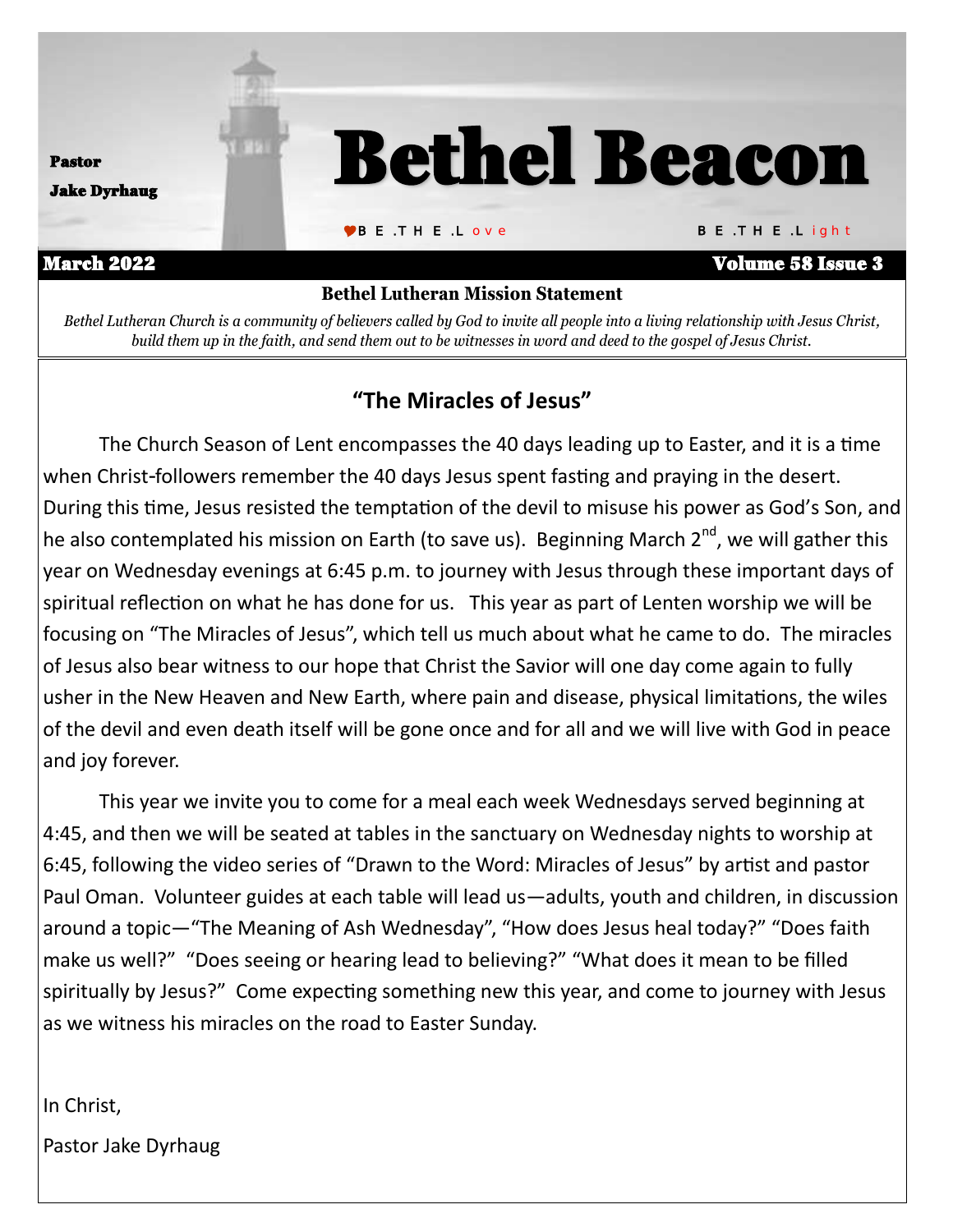

*Bethel Lutheran Church is a community of believers called by God to invite all people into a living relationship with Jesus Christ, build them up in the faith, and send them out to be witnesses in word and deed to the gospel of Jesus Christ.*

### **"The Miracles of Jesus"**

The Church Season of Lent encompasses the 40 days leading up to Easter, and it is a time when Christ-followers remember the 40 days Jesus spent fasting and praying in the desert. During this time, Jesus resisted the temptation of the devil to misuse his power as God's Son, and he also contemplated his mission on Earth (to save us). Beginning March  $2^{nd}$ , we will gather this year on Wednesday evenings at 6:45 p.m. to journey with Jesus through these important days of spiritual reflection on what he has done for us. This year as part of Lenten worship we will be focusing on "The Miracles of Jesus", which tell us much about what he came to do. The miracles of Jesus also bear witness to our hope that Christ the Savior will one day come again to fully usher in the New Heaven and New Earth, where pain and disease, physical limitations, the wiles of the devil and even death itself will be gone once and for all and we will live with God in peace and joy forever.

This year we invite you to come for a meal each week Wednesdays served beginning at 4:45, and then we will be seated at tables in the sanctuary on Wednesday nights to worship at 6:45, following the video series of "Drawn to the Word: Miracles of Jesus" by artist and pastor Paul Oman. Volunteer guides at each table will lead us—adults, youth and children, in discussion around a topic—"The Meaning of Ash Wednesday", "How does Jesus heal today?" "Does faith make us well?" "Does seeing or hearing lead to believing?" "What does it mean to be filled spiritually by Jesus?" Come expecting something new this year, and come to journey with Jesus as we witness his miracles on the road to Easter Sunday.

In Christ,

Pastor Jake Dyrhaug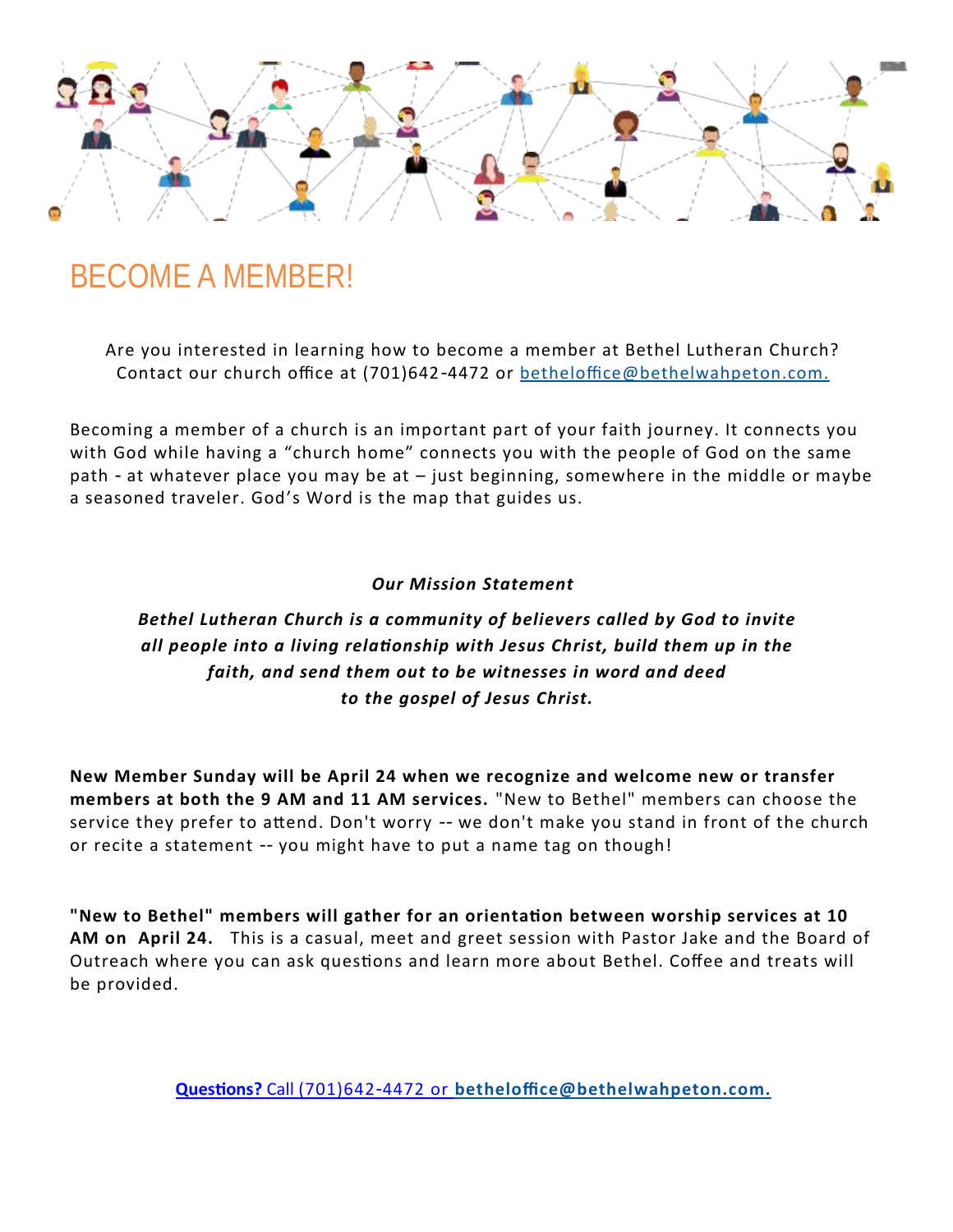

## BECOME A MEMBER!

Are you interested in learning how to become a member at Bethel Lutheran Church? Contact our church office at (701)642-4472 or [betheloffice@bethelwahpeton.com.](mailto:betheloffice@bethelwahpeton.com)

Becoming a member of a church is an important part of your faith journey. It connects you with God while having a "church home" connects you with the people of God on the same path - at whatever place you may be at – just beginning, somewhere in the middle or maybe a seasoned traveler. God's Word is the map that guides us.

### *Our Mission Statement*

### *Bethel Lutheran Church is a community of believers called by God to invite all people into a living relationship with Jesus Christ, build them up in the faith, and send them out to be witnesses in word and deed to the gospel of Jesus Christ.*

**New Member Sunday will be April 24 when we recognize and welcome new or transfer members at both the 9 AM and 11 AM services.** "New to Bethel" members can choose the service they prefer to attend. Don't worry -- we don't make you stand in front of the church or recite a statement -- you might have to put a name tag on though!

**"New to Bethel" members will gather for an orientation between worship services at 10 AM on April 24.** This is a casual, meet and greet session with Pastor Jake and the Board of Outreach where you can ask questions and learn more about Bethel. Coffee and treats will be provided.

**Questions?** Call (701)642-4472 or **[betheloffice@bethelwahpeton.com.](mailto:betheloffice@bethelwahpeton.com)**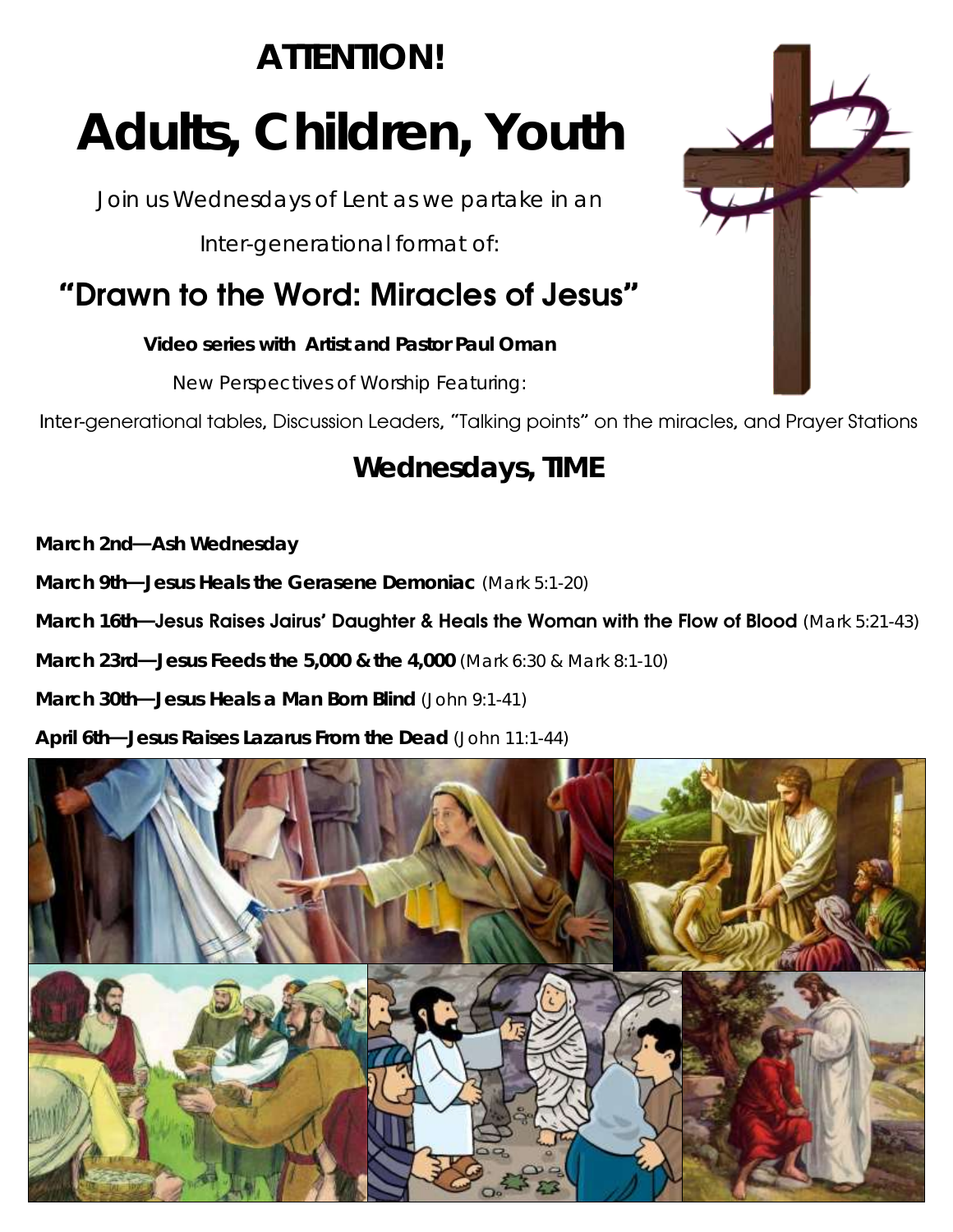# ATTENTION! Adults, Children, Youth

Join us Wednesdays of Lent as we partake in an

Inter-generational format of:

## "Drawn to the Word: Miracles of Jesus"

Video series with Artist and Pastor Paul Oman

New Perspectives of Worship Featuring:



## Wednesdays, TIME

March 2nd—Ash Wednesday

March 9th—Jesus Heals the Gerasene Demoniac (Mark 5:1-20)

March 16th—Jesus Raises Jairus' Daughter & Heals the Woman with the Flow of Blood (Mark 5:21-43)

March 23rd—Jesus Feeds the 5,000 & the 4,000 (Mark 6:30 & Mark 8:1-10)

March 30th—Jesus Heals a Man Born Blind (John 9:1-41)

April 6th—Jesus Raises Lazarus From the Dead (John 11:1-44)



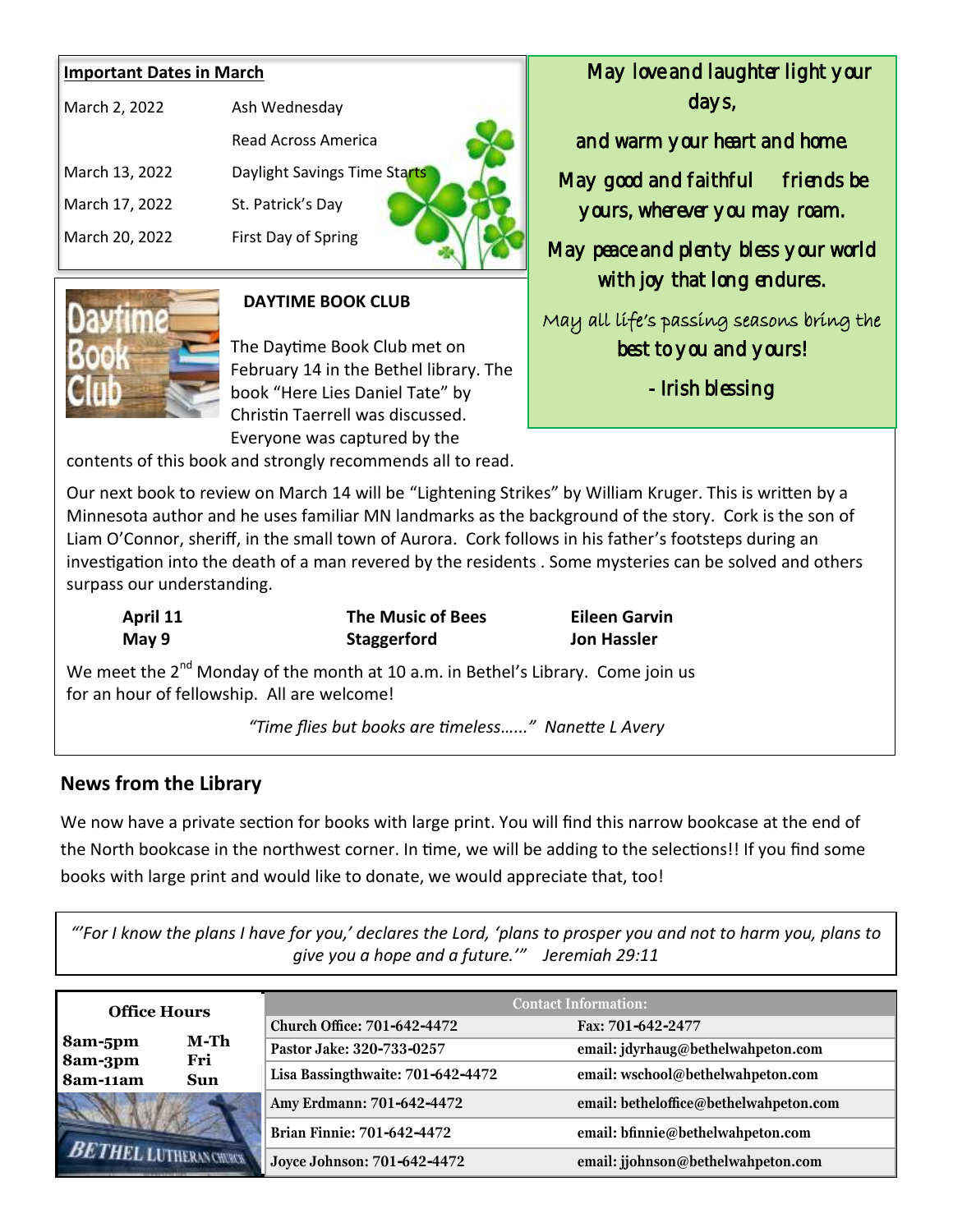### **Important Dates in March**

| March 2, 2022  | Ash Wednesday                |
|----------------|------------------------------|
|                | Read Across America          |
| March 13, 2022 | Daylight Savings Time Starts |
| March 17, 2022 | St. Patrick's Day            |
| March 20, 2022 | First Day of Spring          |
|                |                              |



### **DAYTIME BOOK CLUB**

The Daytime Book Club met on February 14 in the Bethel library. The book "Here Lies Daniel Tate" by Christin Taerrell was discussed. Everyone was captured by the

contents of this book and strongly recommends all to read.

Our next book to review on March 14 will be "Lightening Strikes" by William Kruger. This is written by a Minnesota author and he uses familiar MN landmarks as the background of the story. Cork is the son of Liam O'Connor, sheriff, in the small town of Aurora. Cork follows in his father's footsteps during an investigation into the death of a man revered by the residents . Some mysteries can be solved and others surpass our understanding.

**April 11 The Music of Bees Eileen Garvin May 9 Staggerford Jon Hassler**

We meet the 2<sup>nd</sup> Monday of the month at 10 a.m. in Bethel's Library. Come join us for an hour of fellowship. All are welcome!

 *"Time flies but books are timeless…..." Nanette L Avery* 

### **News from the Library**

We now have a private section for books with large print. You will find this narrow bookcase at the end of the North bookcase in the northwest corner. In time, we will be adding to the selections!! If you find some books with large print and would like to donate, we would appreciate that, too!

*"'For I know the plans I have for you,' declares the Lord, 'plans to prosper you and not to harm you, plans to give you a hope and a future.'" Jeremiah 29:11*

| <b>Office Hours</b> |                                      | <b>Contact Information:</b>        |                                        |  |  |
|---------------------|--------------------------------------|------------------------------------|----------------------------------------|--|--|
|                     |                                      | <b>Church Office: 701-642-4472</b> | Fax: 701-642-2477                      |  |  |
| 8am-5pm             | M-Th<br>8am-3pm<br>Fri<br><b>Sun</b> | Pastor Jake: 320-733-0257          | email: jdyrhaug@bethelwahpeton.com     |  |  |
| 8am-11am            |                                      | Lisa Bassingthwaite: 701-642-4472  | email: wschool@bethelwahpeton.com      |  |  |
|                     |                                      | Amy Erdmann: 701-642-4472          | email: betheloffice@bethelwahpeton.com |  |  |
|                     | <b>Brian Finnie: 701-642-4472</b>    | email: bfinnie@bethelwahpeton.com  |                                        |  |  |
|                     | <b>UTHERAN CHORCH</b>                | Joyce Johnson: 701-642-4472        | email: jjohnson@bethelwahpeton.com     |  |  |

 May love and laughter light your days,

and warm your heart and home.

May good and faithful friends be yours, wherever you may roam.

May peace and plenty bless your world with joy that long endures.

May all life's passing seasons bring the best to you and yours!

- Irish blessing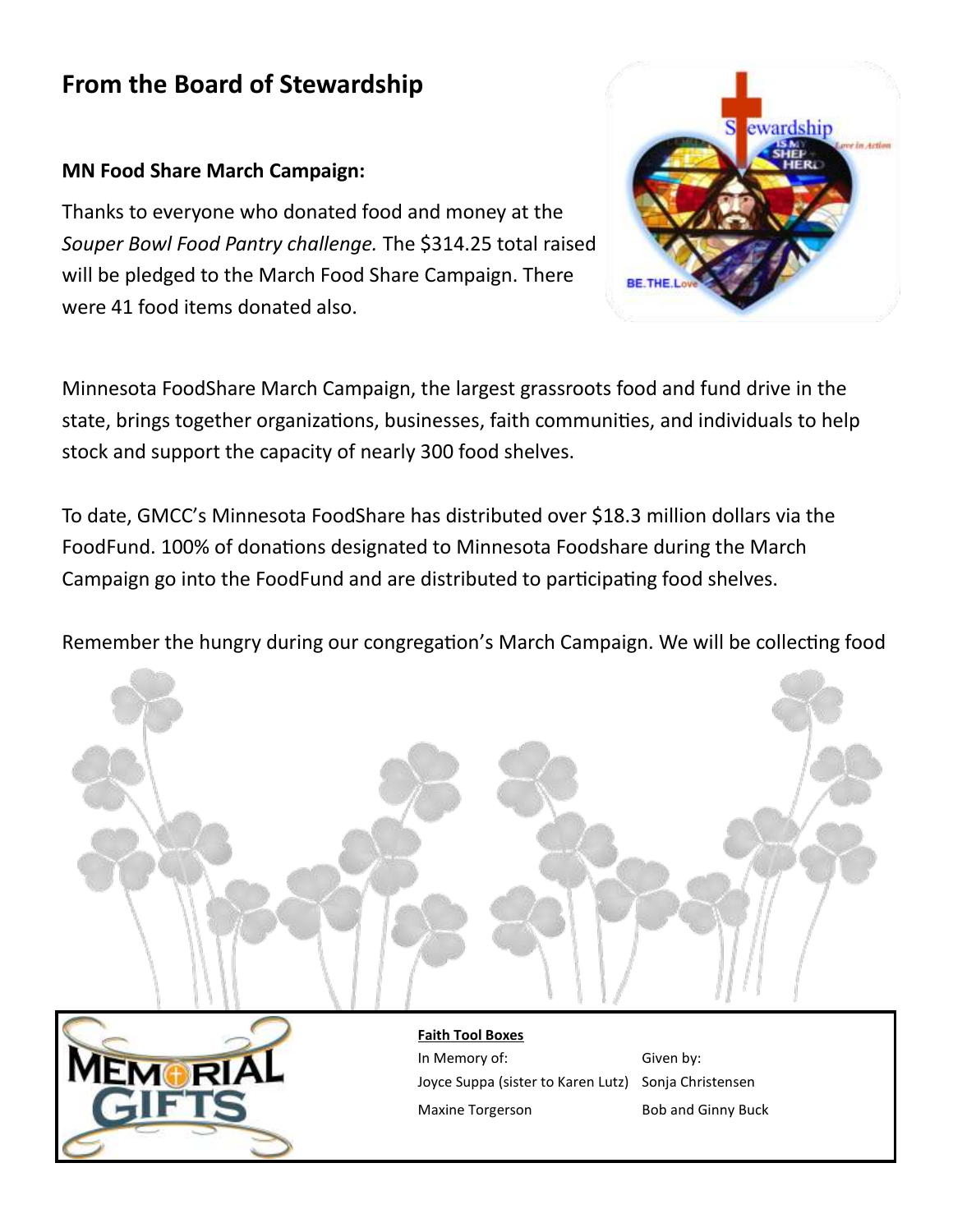### **From the Board of Stewardship**

### **MN Food Share March Campaign:**

Thanks to everyone who donated food and money at the *Souper Bowl Food Pantry challenge.* The \$314.25 total raised will be pledged to the March Food Share Campaign. There were 41 food items donated also.



Minnesota FoodShare March Campaign, the largest grassroots food and fund drive in the state, brings together organizations, businesses, faith communities, and individuals to help stock and support the capacity of nearly 300 food shelves.

To date, GMCC's Minnesota FoodShare has distributed over \$18.3 million dollars via the FoodFund. 100% of donations designated to Minnesota Foodshare during the March Campaign go into the FoodFund and are distributed to participating food shelves.

Remember the hungry during our congregation's March Campaign. We will be collecting food





In Memory of: Given by: Joyce Suppa (sister to Karen Lutz) Sonja Christensen Maxine Torgerson Bob and Ginny Buck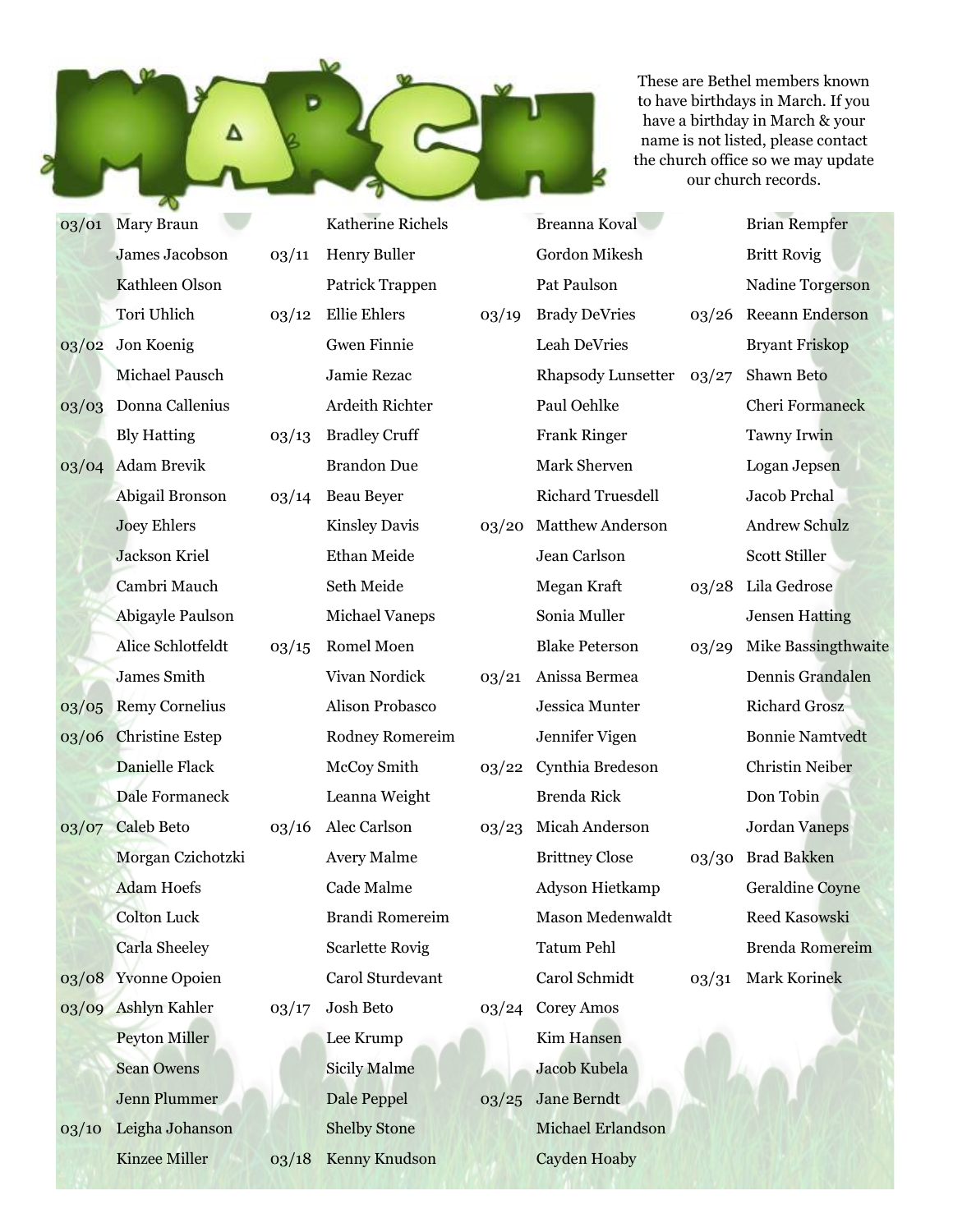These are Bethel members known to have birthdays in March. If you have a birthday in March & your name is not listed, please contact the church office so we may update our church records.

Brian Rempfer

Britt Rovig

03/01 Mary Braun James Jacobson Kathleen Olson Tori Uhlich 03/02 Jon Koenig Michael Pausch 03/03 Donna Callenius Bly Hatting 03/04 Adam Brevik Abigail Bronson Joey Ehlers Jackson Kriel Cambri Mauch Abigayle Paulson Alice Schlotfeldt James Smith 03/05 Remy Cornelius 03/06 Christine Estep Danielle Flack Dale Formaneck 03/07 Caleb Beto Morgan Czichotzki Adam Hoefs Colton Luck Carla Sheeley 03/08 Yvonne Opoien 03/09 Ashlyn Kahler Peyton Miller Sean Owens Jenn Plummer 03/10 Leigha Johanson Katherine Richels 03/11 Henry Buller Patrick Trappen 03/12 Ellie Ehlers Gwen Finnie Jamie Rezac Ardeith Richter 03/13 Bradley Cruff Brandon Due 03/14 Beau Beyer Kinsley Davis Ethan Meide Seth Meide Michael Vaneps 03/15 Romel Moen Vivan Nordick Alison Probasco Rodney Romereim McCoy Smith Leanna Weight 03/16 Alec Carlson Avery Malme Cade Malme Brandi Romereim Scarlette Rovig Carol Sturdevant 03/17 Josh Beto Lee Krump Sicily Malme Dale Peppel Shelby Stone

03/18 Kenny Knudson

Kinzee Miller

Gordon Mikesh Pat Paulson 03/19 Brady DeVries Leah DeVries Rhapsody Lunsetter Paul Oehlke Frank Ringer Mark Sherven Richard Truesdell 03/20 Matthew Anderson Jean Carlson Megan Kraft Sonia Muller Blake Peterson 03/21 Anissa Bermea Jessica Munter Jennifer Vigen 03/22 Cynthia Bredeson Brenda Rick 03/23 Micah Anderson Brittney Close Adyson Hietkamp Mason Medenwaldt Tatum Pehl Carol Schmidt 03/24 Corey Amos Kim Hansen Jacob Kubela 03/25 Jane Berndt Michael Erlandson

Cayden Hoaby

Breanna Koval

Nadine Torgerson 03/26 Reeann Enderson Bryant Friskop 03/27 Shawn Beto Cheri Formaneck Tawny Irwin Logan Jepsen Jacob Prchal Andrew Schulz Scott Stiller 03/28 Lila Gedrose Jensen Hatting 03/29 Mike Bassingthwaite Dennis Grandalen Richard Grosz Bonnie Namtvedt Christin Neiber Don Tobin Jordan Vaneps 03/30 Brad Bakken Geraldine Coyne Reed Kasowski Brenda Romereim 03/31 Mark Korinek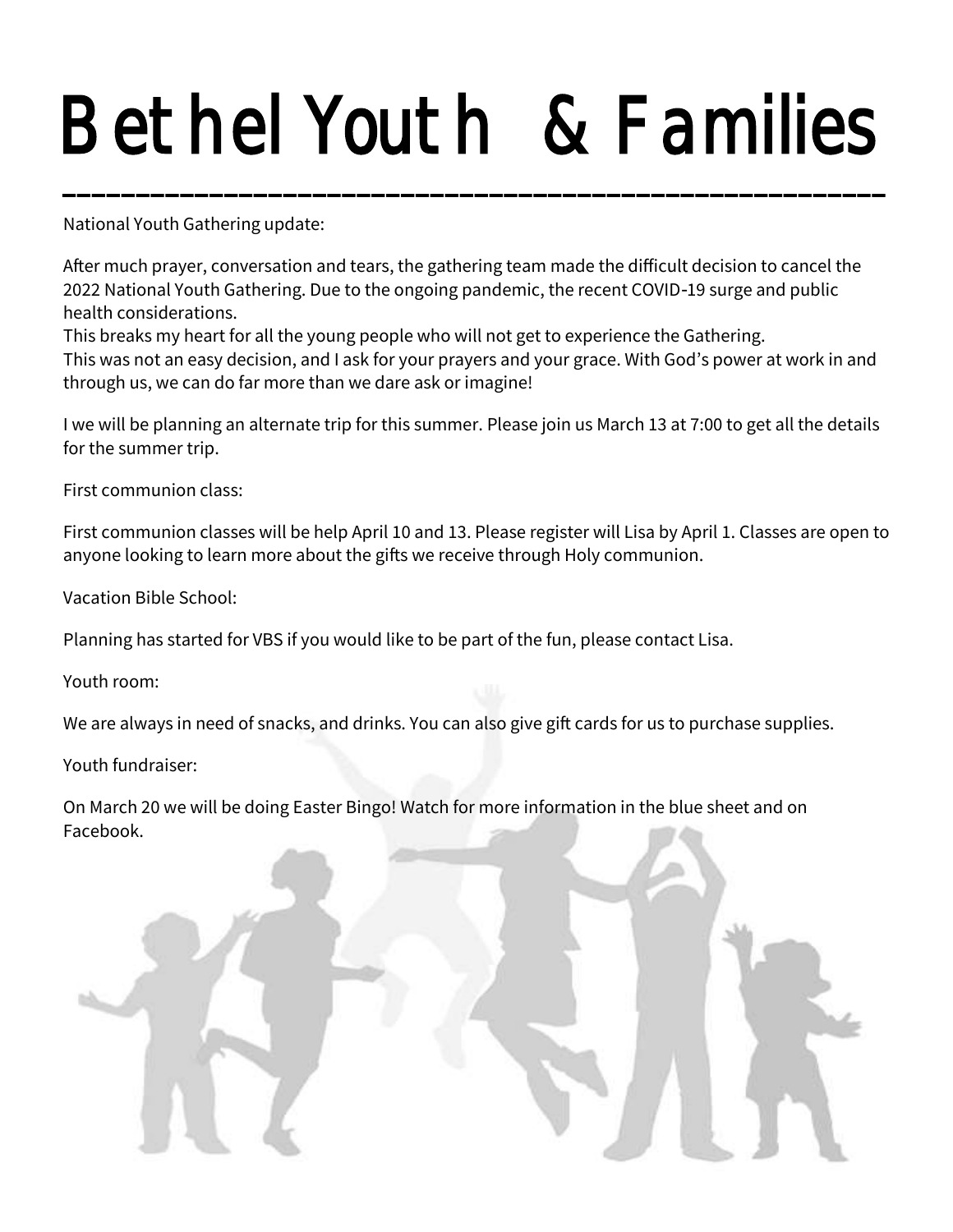# Bethel Youth & Families DELIIEI TUULII Q FAIIIIIIES<br>———————————————————

National Youth Gathering update:

After much prayer, conversation and tears, the gathering team made the difficult decision to cancel the 2022 National Youth Gathering. Due to the ongoing pandemic, the recent COVID-19 surge and public health considerations.

This breaks my heart for all the young people who will not get to experience the Gathering.

This was not an easy decision, and I ask for your prayers and your grace. With God's power at work in and through us, we can do far more than we dare ask or imagine!

I we will be planning an alternate trip for this summer. Please join us March 13 at 7:00 to get all the details for the summer trip.

First communion class:

First communion classes will be help April 10 and 13. Please register will Lisa by April 1. Classes are open to anyone looking to learn more about the gifts we receive through Holy communion.

Vacation Bible School:

Planning has started for VBS if you would like to be part of the fun, please contact Lisa.

Youth room:

We are always in need of snacks, and drinks. You can also give gift cards for us to purchase supplies.

Youth fundraiser:

On March 20 we will be doing Easter Bingo! Watch for more information in the blue sheet and on Facebook.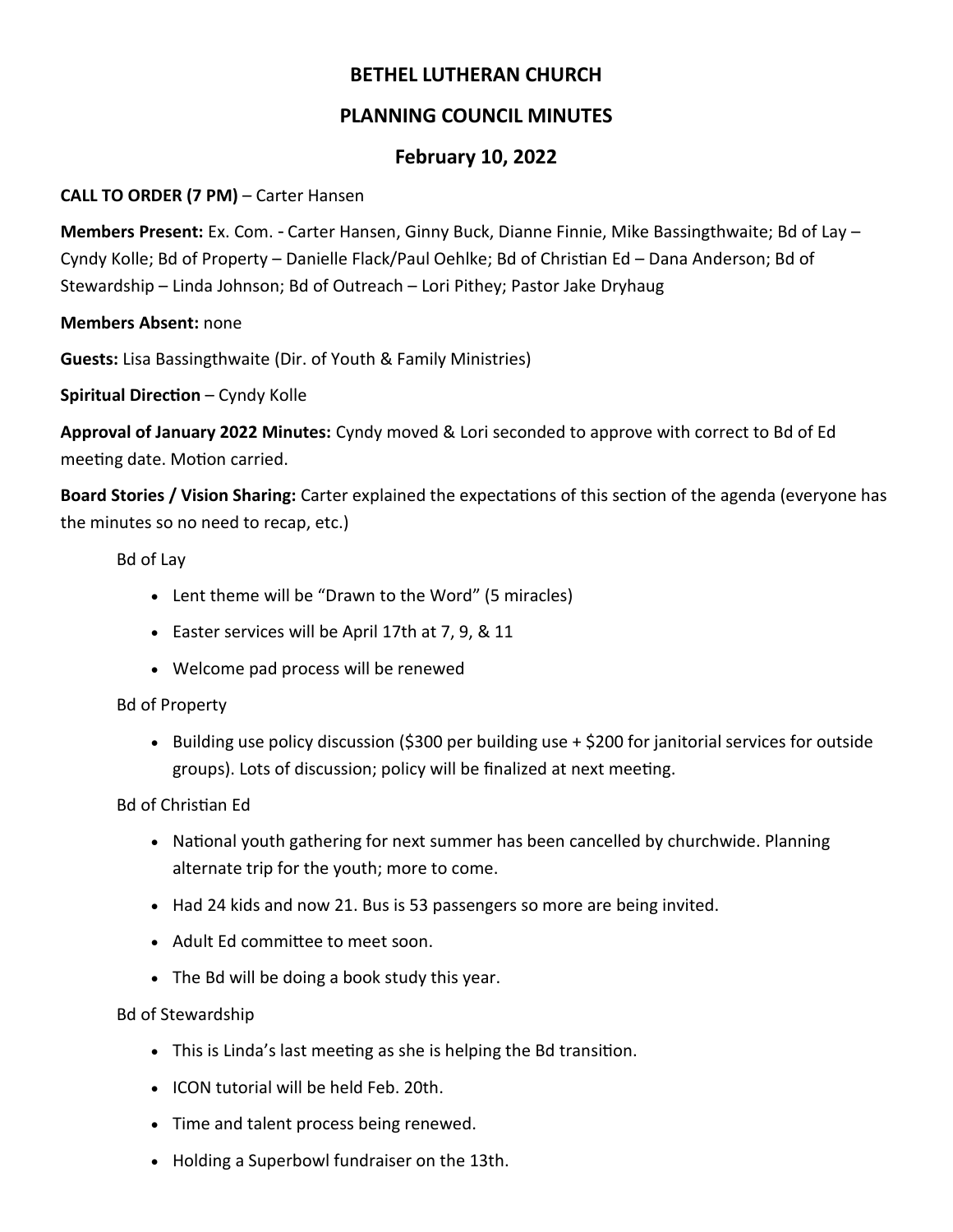### **BETHEL LUTHERAN CHURCH**

### **PLANNING COUNCIL MINUTES**

### **February 10, 2022**

### **CALL TO ORDER (7 PM)** – Carter Hansen

**Members Present:** Ex. Com. - Carter Hansen, Ginny Buck, Dianne Finnie, Mike Bassingthwaite; Bd of Lay – Cyndy Kolle; Bd of Property – Danielle Flack/Paul Oehlke; Bd of Christian Ed – Dana Anderson; Bd of Stewardship – Linda Johnson; Bd of Outreach – Lori Pithey; Pastor Jake Dryhaug

**Members Absent:** none

**Guests:** Lisa Bassingthwaite (Dir. of Youth & Family Ministries)

**Spiritual Direction** – Cyndy Kolle

**Approval of January 2022 Minutes:** Cyndy moved & Lori seconded to approve with correct to Bd of Ed meeting date. Motion carried.

**Board Stories / Vision Sharing:** Carter explained the expectations of this section of the agenda (everyone has the minutes so no need to recap, etc.)

Bd of Lay

- Lent theme will be "Drawn to the Word" (5 miracles)
- Easter services will be April 17th at 7, 9, & 11
- Welcome pad process will be renewed

### Bd of Property

• Building use policy discussion (\$300 per building use + \$200 for janitorial services for outside groups). Lots of discussion; policy will be finalized at next meeting.

Bd of Christian Ed

- National youth gathering for next summer has been cancelled by churchwide. Planning alternate trip for the youth; more to come.
- Had 24 kids and now 21. Bus is 53 passengers so more are being invited.
- Adult Ed committee to meet soon.
- The Bd will be doing a book study this year.

Bd of Stewardship

- This is Linda's last meeting as she is helping the Bd transition.
- ICON tutorial will be held Feb. 20th.
- Time and talent process being renewed.
- Holding a Superbowl fundraiser on the 13th.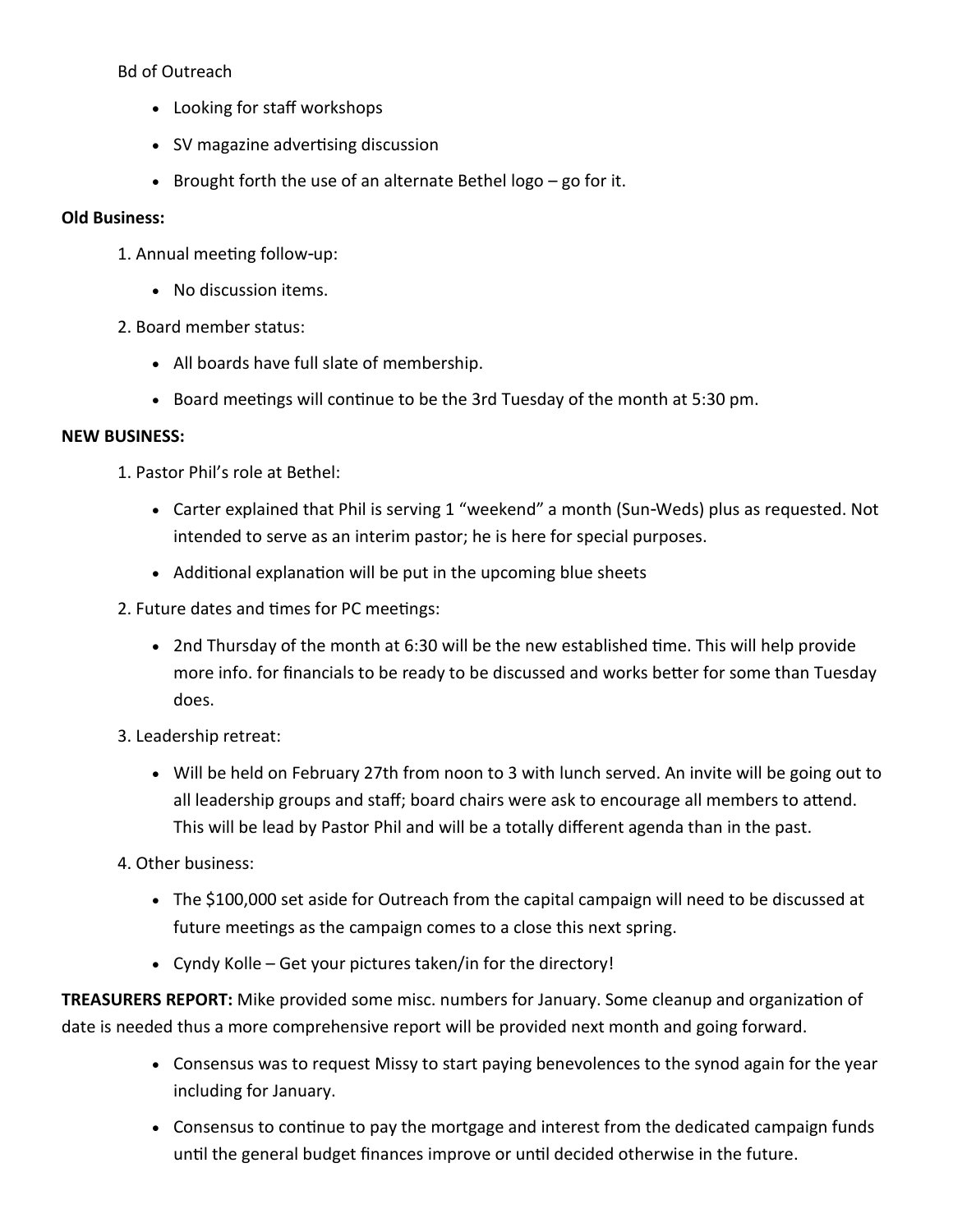Bd of Outreach

- Looking for staff workshops
- SV magazine advertising discussion
- Brought forth the use of an alternate Bethel logo go for it.

#### **Old Business:**

- 1. Annual meeting follow-up:
	- No discussion items.
- 2. Board member status:
	- All boards have full slate of membership.
	- Board meetings will continue to be the 3rd Tuesday of the month at 5:30 pm.

#### **NEW BUSINESS:**

- 1. Pastor Phil's role at Bethel:
	- Carter explained that Phil is serving 1 "weekend" a month (Sun-Weds) plus as requested. Not intended to serve as an interim pastor; he is here for special purposes.
	- Additional explanation will be put in the upcoming blue sheets
- 2. Future dates and times for PC meetings:
	- 2nd Thursday of the month at 6:30 will be the new established time. This will help provide more info. for financials to be ready to be discussed and works better for some than Tuesday does.
- 3. Leadership retreat:
	- Will be held on February 27th from noon to 3 with lunch served. An invite will be going out to all leadership groups and staff; board chairs were ask to encourage all members to attend. This will be lead by Pastor Phil and will be a totally different agenda than in the past.
- 4. Other business:
	- The \$100,000 set aside for Outreach from the capital campaign will need to be discussed at future meetings as the campaign comes to a close this next spring.
	- Cyndy Kolle Get your pictures taken/in for the directory!

**TREASURERS REPORT:** Mike provided some misc. numbers for January. Some cleanup and organization of date is needed thus a more comprehensive report will be provided next month and going forward.

- Consensus was to request Missy to start paying benevolences to the synod again for the year including for January.
- Consensus to continue to pay the mortgage and interest from the dedicated campaign funds until the general budget finances improve or until decided otherwise in the future.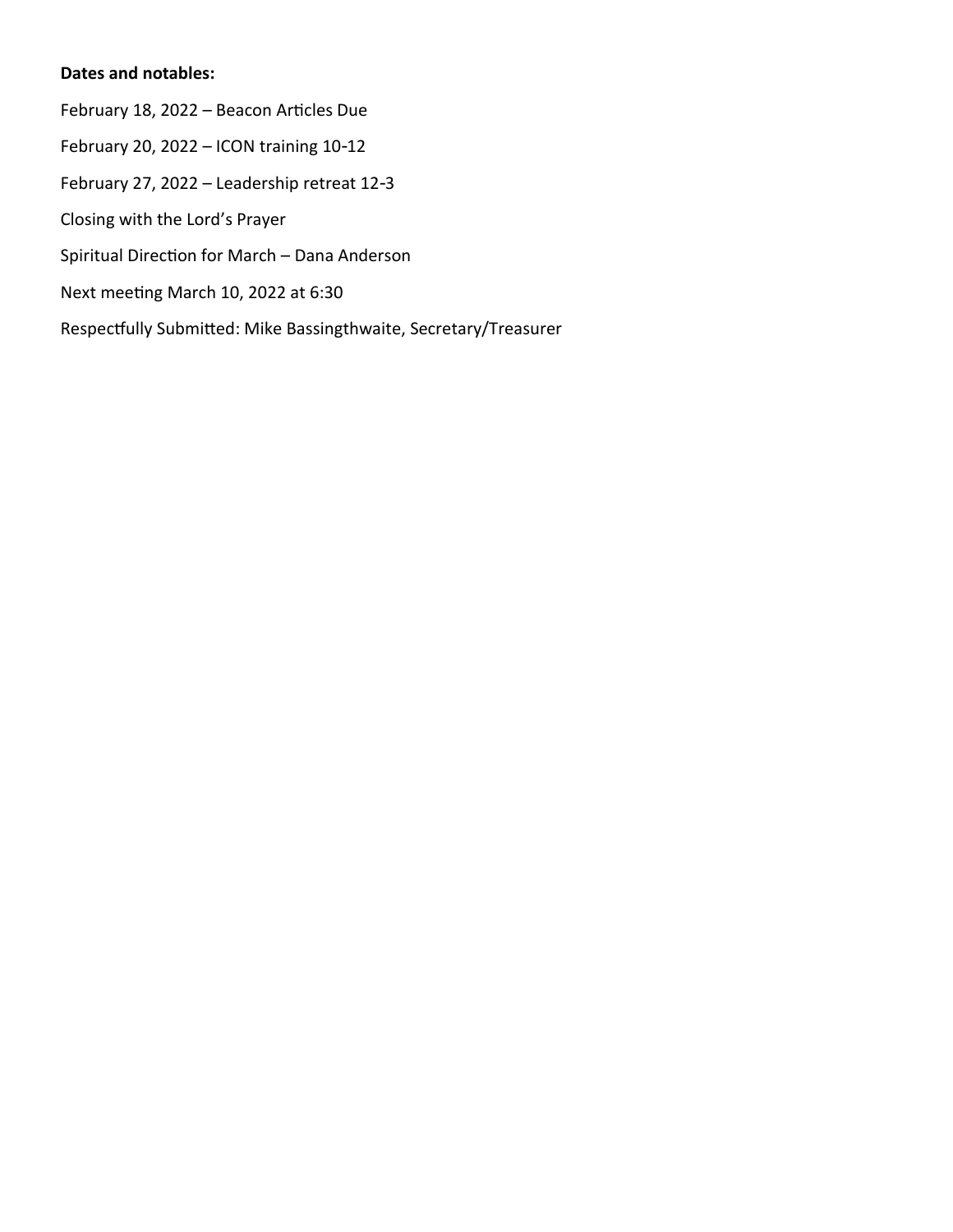### **Dates and notables:**

February 18, 2022 – Beacon Articles Due February 20, 2022 – ICON training 10-12 February 27, 2022 – Leadership retreat 12-3 Closing with the Lord's Prayer Spiritual Direction for March – Dana Anderson Next meeting March 10, 2022 at 6:30 Respectfully Submitted: Mike Bassingthwaite, Secretary/Treasurer